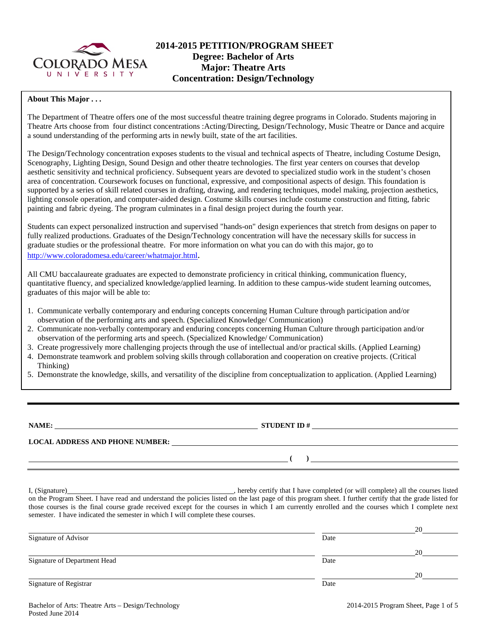

# **2014-2015 PETITION/PROGRAM SHEET Degree: Bachelor of Arts Major: Theatre Arts Concentration: Design/Technology**

### **About This Major . . .**

The Department of Theatre offers one of the most successful theatre training degree programs in Colorado. Students majoring in Theatre Arts choose from four distinct concentrations :Acting/Directing, Design/Technology, Music Theatre or Dance and acquire a sound understanding of the performing arts in newly built, state of the art facilities.

The Design/Technology concentration exposes students to the visual and technical aspects of Theatre, including Costume Design, Scenography, Lighting Design, Sound Design and other theatre technologies. The first year centers on courses that develop aesthetic sensitivity and technical proficiency. Subsequent years are devoted to specialized studio work in the student's chosen area of concentration. Coursework focuses on functional, expressive, and compositional aspects of design. This foundation is supported by a series of skill related courses in drafting, drawing, and rendering techniques, model making, projection aesthetics, lighting console operation, and computer-aided design. Costume skills courses include costume construction and fitting, fabric painting and fabric dyeing. The program culminates in a final design project during the fourth year.

Students can expect personalized instruction and supervised "hands-on" design experiences that stretch from designs on paper to fully realized productions. Graduates of the Design/Technology concentration will have the necessary skills for success in graduate studies or the professional theatre. For more information on what you can do with this major, go to [http://www.coloradomesa.edu/career/whatmajor.html.](http://www.coloradomesa.edu/career/whatmajor.html)

All CMU baccalaureate graduates are expected to demonstrate proficiency in critical thinking, communication fluency, quantitative fluency, and specialized knowledge/applied learning. In addition to these campus-wide student learning outcomes, graduates of this major will be able to:

- 1. Communicate verbally contemporary and enduring concepts concerning Human Culture through participation and/or observation of the performing arts and speech. (Specialized Knowledge/ Communication)
- 2. Communicate non-verbally contemporary and enduring concepts concerning Human Culture through participation and/or observation of the performing arts and speech. (Specialized Knowledge/ Communication)
- 3. Create progressively more challenging projects through the use of intellectual and/or practical skills. (Applied Learning)
- 4. Demonstrate teamwork and problem solving skills through collaboration and cooperation on creative projects. (Critical Thinking)
- 5. Demonstrate the knowledge, skills, and versatility of the discipline from conceptualization to application. (Applied Learning)

**NAME: STUDENT ID #**

**LOCAL ADDRESS AND PHONE NUMBER:**

**( )** 

I, (Signature) **Solution** (Signature) **and Solution** (Signature) **.** hereby certify that I have completed (or will complete) all the courses listed on the Program Sheet. I have read and understand the policies listed on the last page of this program sheet. I further certify that the grade listed for those courses is the final course grade received except for the courses in which I am currently enrolled and the courses which I complete next semester. I have indicated the semester in which I will complete these courses.

|                              |      | 20 |
|------------------------------|------|----|
| Signature of Advisor         | Date |    |
|                              |      | 20 |
| Signature of Department Head | Date |    |
|                              |      | 20 |
| Signature of Registrar       | Date |    |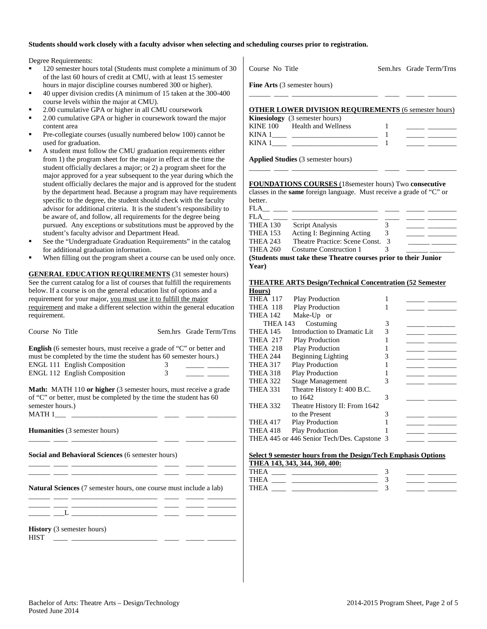### **Students should work closely with a faculty advisor when selecting and scheduling courses prior to registration.**

Degree Requirements:

- 120 semester hours total (Students must complete a minimum of 30 of the last 60 hours of credit at CMU, with at least 15 semester hours in major discipline courses numbered 300 or higher).
- 40 upper division credits (A minimum of 15 taken at the 300-400 course levels within the major at CMU).
- 2.00 cumulative GPA or higher in all CMU coursework
- 2.00 cumulative GPA or higher in coursework toward the major content area
- Pre-collegiate courses (usually numbered below 100) cannot be used for graduation.
- A student must follow the CMU graduation requirements either from 1) the program sheet for the major in effect at the time the student officially declares a major; or 2) a program sheet for the major approved for a year subsequent to the year during which the student officially declares the major and is approved for the student by the department head. Because a program may have requirements specific to the degree, the student should check with the faculty advisor for additional criteria. It is the student's responsibility to be aware of, and follow, all requirements for the degree being pursued. Any exceptions or substitutions must be approved by the student's faculty advisor and Department Head.
- See the "Undergraduate Graduation Requirements" in the catalog for additional graduation information.
- When filling out the program sheet a course can be used only once.

**GENERAL EDUCATION REQUIREMENTS** (31 semester hours) See the current catalog for a list of courses that fulfill the requirements below. If a course is on the general education list of options and a requirement for your major, you must use it to fulfill the major requirement and make a different selection within the general education requirement.

| Course No Title |  |  |
|-----------------|--|--|
|                 |  |  |

Sem.hrs Grade Term/Trns

**English** (6 semester hours, must receive a grade of "C" or better and must be completed by the time the student has 60 semester hours.) ENGL 111 English Composition 3 \_\_\_\_\_ \_\_\_\_\_\_ ENGL 112 English Composition 3 \_\_\_\_\_ \_\_\_\_\_\_

**Math:** MATH 110 **or higher** (3 semester hours, must receive a grade of "C" or better, must be completed by the time the student has 60 semester hours.)  $MATH 1$ <sub>\_\_\_\_</sub> \_\_\_

\_\_\_\_\_\_ \_\_\_\_ \_\_\_\_\_\_\_\_\_\_\_\_\_\_\_\_\_\_\_\_\_\_\_\_ \_\_\_\_ \_\_\_\_\_ \_\_\_\_\_\_\_\_

\_\_\_\_\_\_ \_\_\_\_ \_\_\_\_\_\_\_\_\_\_\_\_\_\_\_\_\_\_\_\_\_\_\_\_ \_\_\_\_ \_\_\_\_\_ \_\_\_\_\_\_\_\_

**Humanities** (3 semester hours)

**Social and Behavioral Sciences** (6 semester hours)

\_\_\_\_\_\_ \_\_\_\_ \_\_\_\_\_\_\_\_\_\_\_\_\_\_\_\_\_\_\_\_\_\_\_\_ \_\_\_\_ \_\_\_\_\_ \_\_\_\_\_\_\_\_

**Natural Sciences** (7 semester hours, one course must include a lab)

\_\_\_\_\_\_ \_\_\_\_ \_\_\_\_\_\_\_\_\_\_\_\_\_\_\_\_\_\_\_\_\_\_\_\_ \_\_\_\_ \_\_\_\_\_ \_\_\_\_\_\_\_\_ \_\_\_\_\_\_ \_\_\_\_ \_\_\_\_\_\_\_\_\_\_\_\_\_\_\_\_\_\_\_\_\_\_\_\_ \_\_\_\_ \_\_\_\_\_ \_\_\_\_\_\_\_\_  $\rule{1em}{0.7em} \vrule{1em}{0.7em} \overline{~~} \, \underline{~~} \, \underline{~~} \, \underline{~~} \, \underline{~~} \, \underline{~~} \, \underline{~~} \, \underline{~~} \, \underline{~~} \, \underline{~~} \, \underline{~~} \, \underline{~~} \, \underline{~~} \, \underline{~~} \, \underline{~~} \, \underline{~~} \, \underline{~~} \, \underline{~~} \, \underline{~~} \, \underline{~~} \, \underline{~~} \, \underline{~~} \, \underline{~~} \, \underline{~~} \, \underline{~~} \, \underline{~~} \, \underline{~~} \, \underline{~~} \,$ 

**History** (3 semester hours) HIST \_\_\_\_ \_\_\_\_\_\_\_\_\_\_\_\_\_\_\_\_\_\_\_\_\_\_\_\_ \_\_\_\_ \_\_\_\_\_ \_\_\_\_\_\_\_\_

| <b>Fine Arts</b> (3 semester hours)                                                                  |  |
|------------------------------------------------------------------------------------------------------|--|
| <b>OTHER LOWER DIVISION REQUIREMENTS (6 semester hours)</b><br><b>Kinesiology</b> (3 semester hours) |  |

Course No Title Sem.hrs Grade Term/Trns

|          | $\frac{1}{2}$       |  |  |
|----------|---------------------|--|--|
| KINE 100 | Health and Wellness |  |  |
| KINA 1   |                     |  |  |
| KINA 1   |                     |  |  |
|          |                     |  |  |

\_\_\_\_\_\_ \_\_\_\_ \_\_\_\_\_\_\_\_\_\_\_\_\_\_\_\_\_\_\_\_\_\_\_\_ \_\_\_\_ \_\_\_\_\_ \_\_\_\_\_\_\_\_

**Applied Studies** (3 semester hours)

**FOUNDATIONS COURSES** (18semester hours) Two **consecutive** classes in the **same** foreign language. Must receive a grade of "C" or hottor

| UCIICI.         |                                                                  |   |  |  |
|-----------------|------------------------------------------------------------------|---|--|--|
| FLA             |                                                                  |   |  |  |
| FLA             |                                                                  |   |  |  |
| THEA 130        | Script Analysis                                                  |   |  |  |
| THEA 153        | Acting I: Beginning Acting                                       | 3 |  |  |
| <b>THEA 243</b> | Theatre Practice: Scene Const.                                   |   |  |  |
| THEA 260        | Costume Construction 1                                           |   |  |  |
|                 | (Students must take these Theatre courses prior to their Junior) |   |  |  |

**(Students must take these Theatre courses prior to their Junior Year)**

|        | <b>THEATRE ARTS Design/Technical Concentration (52 Semester)</b> |  |
|--------|------------------------------------------------------------------|--|
| Hours) |                                                                  |  |

| THEA 117 | <b>Play Production</b>                      |   |  |
|----------|---------------------------------------------|---|--|
| THEA 118 | <b>Play Production</b>                      |   |  |
| THEA 142 | Make-Up or                                  |   |  |
| THEA 143 | Costuming                                   | 3 |  |
| THEA 145 | Introduction to Dramatic Lit                | 3 |  |
| THEA 217 | <b>Play Production</b>                      |   |  |
| THEA 218 | <b>Play Production</b>                      |   |  |
| THEA 244 | <b>Beginning Lighting</b>                   | 3 |  |
| THEA 317 | <b>Play Production</b>                      |   |  |
| THEA 318 | <b>Play Production</b>                      |   |  |
| THEA 322 | <b>Stage Management</b>                     | 3 |  |
| THEA 331 | Theatre History I: 400 B.C.                 |   |  |
|          | to 1642                                     | 3 |  |
| THEA 332 | Theatre History II: From 1642               |   |  |
|          | to the Present                              | 3 |  |
| THEA 417 | <b>Play Production</b>                      |   |  |
| THEA 418 | <b>Play Production</b>                      |   |  |
|          | THEA 445 or 446 Senior Tech/Des. Capstone 3 |   |  |
|          |                                             |   |  |

### **Select 9 semester hours from the Design/Tech Emphasis Options THEA 143, 343, 344, 360, 400:**

| ______<br>- - - - - - - - - - - - - - - - - - - - |  |
|---------------------------------------------------|--|
| THE                                               |  |
| THE A                                             |  |
| THE                                               |  |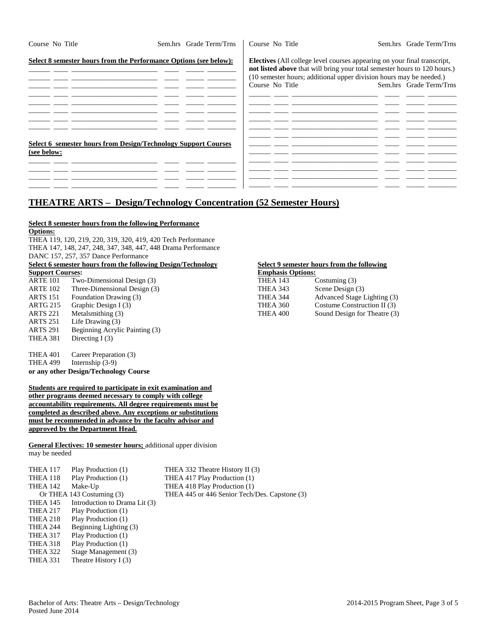| Course No Title                                                               | Sem.hrs Grade Term/Trns | Course No Title | Sem.hrs Grade Term/Trns                                                                                                                                                                                                                                        |
|-------------------------------------------------------------------------------|-------------------------|-----------------|----------------------------------------------------------------------------------------------------------------------------------------------------------------------------------------------------------------------------------------------------------------|
| Select 8 semester hours from the Performance Options (see below):             |                         | Course No Title | <b>Electives</b> (All college level courses appearing on your final transcript,<br>not listed above that will bring your total semester hours to 120 hours.)<br>(10 semester hours; additional upper division hours may be needed.)<br>Sem.hrs Grade Term/Trns |
|                                                                               |                         |                 |                                                                                                                                                                                                                                                                |
| Select 6 semester hours from Design/Technology Support Courses<br>(see below: |                         |                 |                                                                                                                                                                                                                                                                |
|                                                                               |                         |                 |                                                                                                                                                                                                                                                                |

# **THEATRE ARTS – Design/Technology Concentration (52 Semester Hours)**

## **Select 8 semester hours from the following Performance**

**Options:**

THEA 119, 120, 219, 220, 319, 320, 419, 420 Tech Performance THEA 147, 148, 247, 248, 347, 348, 447, 448 Drama Performance DANC 157, 257, 357 Dance Performance

### **Select 6** semester hours from the following Design/Technology<br> **Select 9** semester hours from the following<br> **Support Courses: Support Courses:**

| <b>DRAPPOLY COMEDOD!</b> |                                | ешрщаж орионж   |                  |  |
|--------------------------|--------------------------------|-----------------|------------------|--|
| ARTE 101                 | Two-Dimensional Design (3)     | <b>THEA 143</b> | Costuming $(3)$  |  |
| ARTE 102                 | Three-Dimensional Design (3)   | THEA 343        | Scene Design (3) |  |
| ARTS 151                 | Foundation Drawing (3)         | THEA 344        | Advanced Stage 1 |  |
| ARTG 215                 | Graphic Design I (3)           | THEA 360        | Costume Constru  |  |
| ARTS 221                 | Metalsmithing (3)              | THEA 400        | Sound Design for |  |
| ARTS 251                 | Life Drawing (3)               |                 |                  |  |
| ARTS 291                 | Beginning Acrylic Painting (3) |                 |                  |  |
| THEA 381                 | Directing $I(3)$               |                 |                  |  |
|                          |                                |                 |                  |  |

THEA 401 Career Preparation (3)<br>THEA 499 Internship (3-9) Internship  $(3-9)$ **or any other Design/Technology Course**

**Students are required to participate in exit examination and other programs deemed necessary to comply with college accountability requirements. All degree requirements must be completed as described above. Any exceptions or substitutions must be recommended in advance by the faculty advisor and approved by the Department Head.**

**General Electives: 10 semester hours;** additional upper division may be needed

| THEA 117        | Play Production (1)           | THEA 332 Theatre History II (3)               |
|-----------------|-------------------------------|-----------------------------------------------|
| THEA 118        | Play Production (1)           | THEA 417 Play Production (1)                  |
| <b>THEA 142</b> | Make-Up                       | THEA 418 Play Production (1)                  |
|                 | Or THEA 143 Costuming (3)     | THEA 445 or 446 Senior Tech/Des. Capstone (3) |
| THEA 145        | Introduction to Drama Lit (3) |                                               |
| <b>THEA 217</b> | Play Production (1)           |                                               |
| THEA 218        | Play Production (1)           |                                               |
| THEA 244        | Beginning Lighting (3)        |                                               |
| <b>THEA 317</b> | Play Production (1)           |                                               |
| THEA 318        | Play Production (1)           |                                               |
| THEA 322        | Stage Management (3)          |                                               |
| THEA 331        | Theatre History $I(3)$        |                                               |
|                 |                               |                                               |

| ыпрот с соцівсь: |                              | Енириазиз Орабны. |                              |
|------------------|------------------------------|-------------------|------------------------------|
| ARTE 101         | Two-Dimensional Design (3)   | THEA 143          | Costuming $(3)$              |
| ARTE 102         | Three-Dimensional Design (3) | THEA 343          | Scene Design (3)             |
| ARTS 151         | Foundation Drawing (3)       | THEA 344          | Advanced Stage Lighting (3)  |
| ARTG 215         | Graphic Design I (3)         | THEA 360          | Costume Construction II (3)  |
| ARTS 221         | Metalsmithing (3)            | THEA 400          | Sound Design for Theatre (3) |
|                  |                              |                   |                              |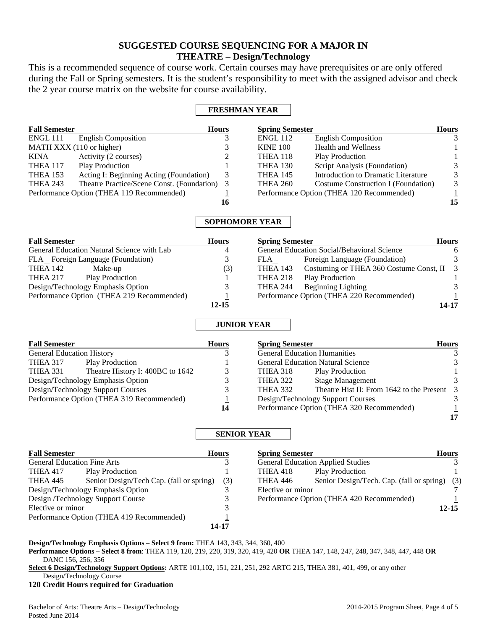# **SUGGESTED COURSE SEQUENCING FOR A MAJOR IN THEATRE – Design/Technology**

This is a recommended sequence of course work. Certain courses may have prerequisites or are only offered during the Fall or Spring semesters. It is the student's responsibility to meet with the assigned advisor and check the 2 year course matrix on the website for course availability.

## **FRESHMAN YEAR**

| <b>Fall Semester</b>                      |                                            | <b>Hours</b> | <b>Spring Semester</b> |                                           | <b>Hours</b>  |
|-------------------------------------------|--------------------------------------------|--------------|------------------------|-------------------------------------------|---------------|
| ENGL 111                                  | <b>English Composition</b>                 |              | <b>ENGL 112</b>        | <b>English Composition</b>                |               |
|                                           | MATH XXX (110 or higher)                   |              | <b>KINE 100</b>        | <b>Health and Wellness</b>                |               |
| KINA                                      | Activity (2 courses)                       |              | THEA 118               | <b>Play Production</b>                    |               |
| THEA 117                                  | <b>Play Production</b>                     |              | <b>THEA 130</b>        | Script Analysis (Foundation)              | 3             |
| THEA 153                                  | Acting I: Beginning Acting (Foundation)    | 3            | <b>THEA 145</b>        | Introduction to Dramatic Literature       | 3             |
| <b>THEA 243</b>                           | Theatre Practice/Scene Const. (Foundation) |              | <b>THEA 260</b>        | Costume Construction I (Foundation)       | $\mathcal{E}$ |
| Performance Option (THEA 119 Recommended) |                                            |              |                        | Performance Option (THEA 120 Recommended) |               |
|                                           |                                            | 16           |                        |                                           | 15            |

## **SOPHOMORE YEAR**

| <b>Fall Semester</b>                       | <b>Hours</b> | <b>Spring Semester</b>                                | <b>Hours</b> |
|--------------------------------------------|--------------|-------------------------------------------------------|--------------|
| General Education Natural Science with Lab | 4            | General Education Social/Behavioral Science           | 6            |
| FLA Foreign Language (Foundation)          |              | Foreign Language (Foundation)<br>FLA                  | 3            |
| THEA 142<br>Make-up                        | (3)          | Costuming or THEA 360 Costume Const, II 3<br>THEA 143 |              |
| <b>Play Production</b><br><b>THEA 217</b>  |              | <b>Play Production</b><br>THEA 218                    |              |
| Design/Technology Emphasis Option          |              | Beginning Lighting<br>THEA 244                        |              |
| Performance Option (THEA 219 Recommended)  |              | Performance Option (THEA 220 Recommended)             |              |
|                                            | $12 - 15$    |                                                       | 14-17        |

## **JUNIOR YEAR**

| <b>Fall Semester</b>             |                                           | <b>Hours</b> | <b>Spring Semes</b> |
|----------------------------------|-------------------------------------------|--------------|---------------------|
| <b>General Education History</b> |                                           | 3            | General Educa       |
| <b>THEA 317</b>                  | <b>Play Production</b>                    |              | General Educa       |
| <b>THEA 331</b>                  | Theatre History I: 400BC to 1642          | 3            | THEA 318            |
|                                  | Design/Technology Emphasis Option         | 3            | <b>THEA 322</b>     |
|                                  | Design/Technology Support Courses         | 3            | THEA 332            |
|                                  | Performance Option (THEA 319 Recommended) |              | Design/Techn        |
|                                  |                                           | 14           | Performance 0       |

| <b>Spring Semester</b>                                       | <b>Hours</b> |
|--------------------------------------------------------------|--------------|
| <b>General Education Humanities</b>                          |              |
| <b>General Education Natural Science</b>                     |              |
| THEA 318<br><b>Play Production</b>                           |              |
| <b>Stage Management</b><br><b>THEA 322</b>                   |              |
| Theatre Hist II: From 1642 to the Present<br><b>THEA 332</b> |              |
| Design/Technology Support Courses                            |              |
| Performance Option (THEA 320 Recommended)                    |              |
|                                                              |              |

## **SENIOR YEAR**

| <b>Fall Semester</b>                      |                                          | <b>Hours</b> |
|-------------------------------------------|------------------------------------------|--------------|
| <b>General Education Fine Arts</b>        |                                          |              |
| <b>THEA 417</b>                           | <b>Play Production</b>                   |              |
| THEA 445                                  | Senior Design/Tech Cap. (fall or spring) | (3)          |
|                                           | Design/Technology Emphasis Option        |              |
|                                           | Design /Technology Support Course        |              |
| Elective or minor                         |                                          |              |
| Performance Option (THEA 419 Recommended) |                                          |              |
|                                           |                                          |              |

| <b>Spring Semester</b> |                                               | <b>Hours</b> |
|------------------------|-----------------------------------------------|--------------|
|                        | <b>General Education Applied Studies</b>      |              |
| <b>THEA 418</b>        | <b>Play Production</b>                        |              |
| <b>THEA 446</b>        | Senior Design/Tech. Cap. (fall or spring) (3) |              |
| Elective or minor      |                                               |              |
|                        | Performance Option (THEA 420 Recommended)     |              |
|                        |                                               | 12-15        |

**Design/Technology Emphasis Options – Select 9 from:** THEA 143, 343, 344, 360, 400

**Performance Options – Select 8 from**: THEA 119, 120, 219, 220, 319, 320, 419, 420 **OR** THEA 147, 148, 247, 248, 347, 348, 447, 448 **OR** DANC 156, 256, 356

**Select 6 Design/Technology Support Options:** ARTE 101,102, 151, 221, 251, 292 ARTG 215, THEA 381, 401, 499, or any other Design/Technology Course

**120 Credit Hours required for Graduation**